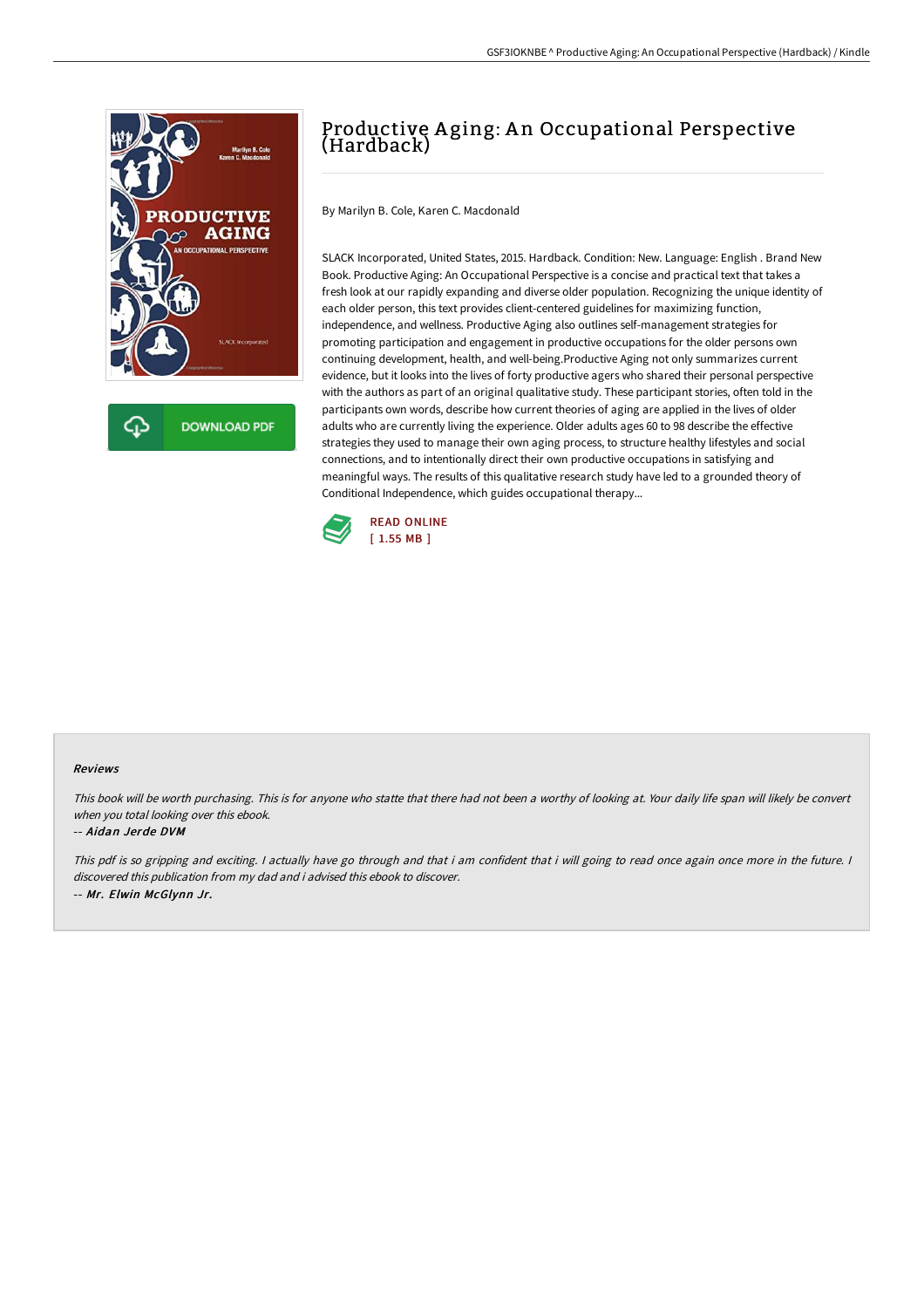

# Productive A ging: A n Occupational Perspective (Hardback)

By Marilyn B. Cole, Karen C. Macdonald

SLACK Incorporated, United States, 2015. Hardback. Condition: New. Language: English . Brand New Book. Productive Aging: An Occupational Perspective is a concise and practical text that takes a fresh look at our rapidly expanding and diverse older population. Recognizing the unique identity of each older person, this text provides client-centered guidelines for maximizing function, independence, and wellness. Productive Aging also outlines self-management strategies for promoting participation and engagement in productive occupations for the older persons own continuing development, health, and well-being.Productive Aging not only summarizes current evidence, but it looks into the lives of forty productive agers who shared their personal perspective with the authors as part of an original qualitative study. These participant stories, often told in the participants own words, describe how current theories of aging are applied in the lives of older adults who are currently living the experience. Older adults ages 60 to 98 describe the effective strategies they used to manage their own aging process, to structure healthy lifestyles and social connections, and to intentionally direct their own productive occupations in satisfying and meaningful ways. The results of this qualitative research study have led to a grounded theory of Conditional Independence, which guides occupational therapy...



# Reviews

This book will be worth purchasing. This is for anyone who statte that there had not been <sup>a</sup> worthy of looking at. Your daily life span will likely be convert when you total looking over this ebook.

### -- Aidan Jerde DVM

This pdf is so gripping and exciting. I actually have go through and that i am confident that i will going to read once again once more in the future. I discovered this publication from my dad and i advised this ebook to discover. -- Mr. Elwin McGlynn Jr.